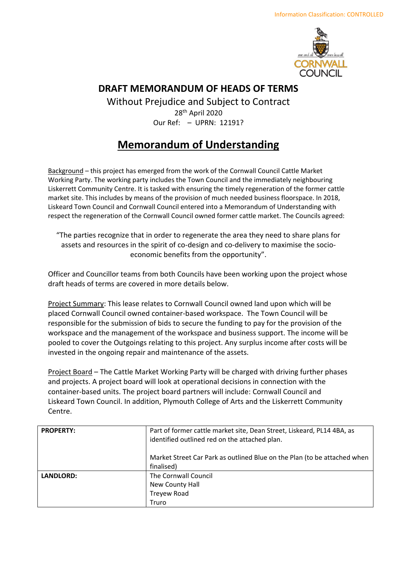

## **DRAFT MEMORANDUM OF HEADS OF TERMS**

Without Prejudice and Subject to Contract 28th April 2020 Our Ref: – UPRN: 12191?

## **Memorandum of Understanding**

Background – this project has emerged from the work of the Cornwall Council Cattle Market Working Party. The working party includes the Town Council and the immediately neighbouring Liskerrett Community Centre. It is tasked with ensuring the timely regeneration of the former cattle market site. This includes by means of the provision of much needed business floorspace. In 2018, Liskeard Town Council and Cornwall Council entered into a Memorandum of Understanding with respect the regeneration of the Cornwall Council owned former cattle market. The Councils agreed:

"The parties recognize that in order to regenerate the area they need to share plans for assets and resources in the spirit of co-design and co-delivery to maximise the socioeconomic benefits from the opportunity".

Officer and Councillor teams from both Councils have been working upon the project whose draft heads of terms are covered in more details below.

Project Summary: This lease relates to Cornwall Council owned land upon which will be placed Cornwall Council owned container-based workspace. The Town Council will be responsible for the submission of bids to secure the funding to pay for the provision of the workspace and the management of the workspace and business support. The income will be pooled to cover the Outgoings relating to this project. Any surplus income after costs will be invested in the ongoing repair and maintenance of the assets.

Project Board – The Cattle Market Working Party will be charged with driving further phases and projects. A project board will look at operational decisions in connection with the container-based units. The project board partners will include: Cornwall Council and Liskeard Town Council. In addition, Plymouth College of Arts and the Liskerrett Community Centre.

| <b>PROPERTY:</b> | Part of former cattle market site, Dean Street, Liskeard, PL14 4BA, as<br>identified outlined red on the attached plan. |
|------------------|-------------------------------------------------------------------------------------------------------------------------|
|                  | Market Street Car Park as outlined Blue on the Plan (to be attached when<br>finalised)                                  |
| <b>LANDLORD:</b> | The Cornwall Council                                                                                                    |
|                  | New County Hall                                                                                                         |
|                  | <b>Treyew Road</b>                                                                                                      |
|                  | Truro                                                                                                                   |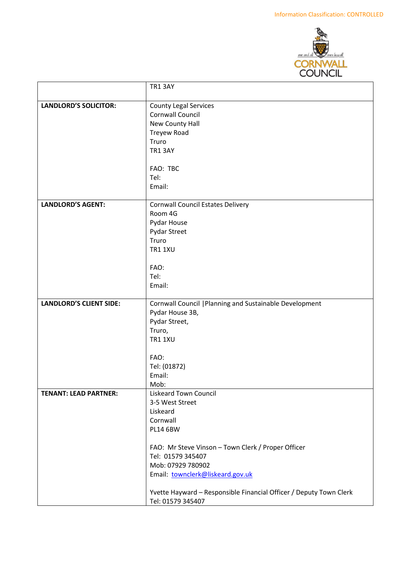

|                                | <b>TR1 3AY</b>                                                     |
|--------------------------------|--------------------------------------------------------------------|
| <b>LANDLORD'S SOLICITOR:</b>   | <b>County Legal Services</b>                                       |
|                                | Cornwall Council                                                   |
|                                | New County Hall                                                    |
|                                | <b>Treyew Road</b>                                                 |
|                                | Truro                                                              |
|                                | <b>TR1 3AY</b>                                                     |
|                                |                                                                    |
|                                | FAO: TBC                                                           |
|                                | Tel:                                                               |
|                                | Email:                                                             |
|                                |                                                                    |
| <b>LANDLORD'S AGENT:</b>       | <b>Cornwall Council Estates Delivery</b><br>Room 4G                |
|                                | Pydar House                                                        |
|                                | Pydar Street                                                       |
|                                | Truro                                                              |
|                                | <b>TR1 1XU</b>                                                     |
|                                |                                                                    |
|                                | FAO:                                                               |
|                                | Tel:                                                               |
|                                | Email:                                                             |
| <b>LANDLORD'S CLIENT SIDE:</b> | Cornwall Council   Planning and Sustainable Development            |
|                                | Pydar House 3B,                                                    |
|                                | Pydar Street,                                                      |
|                                | Truro,                                                             |
|                                | <b>TR1 1XU</b>                                                     |
|                                | FAO:                                                               |
|                                | Tel: (01872)                                                       |
|                                | Email:                                                             |
|                                | Mob:                                                               |
| <b>TENANT: LEAD PARTNER:</b>   | <b>Liskeard Town Council</b>                                       |
|                                | 3-5 West Street                                                    |
|                                | Liskeard                                                           |
|                                | Cornwall                                                           |
|                                | <b>PL14 6BW</b>                                                    |
|                                | FAO: Mr Steve Vinson - Town Clerk / Proper Officer                 |
|                                | Tel: 01579 345407                                                  |
|                                | Mob: 07929 780902                                                  |
|                                | Email: townclerk@liskeard.gov.uk                                   |
|                                |                                                                    |
|                                | Yvette Hayward - Responsible Financial Officer / Deputy Town Clerk |
|                                | Tel: 01579 345407                                                  |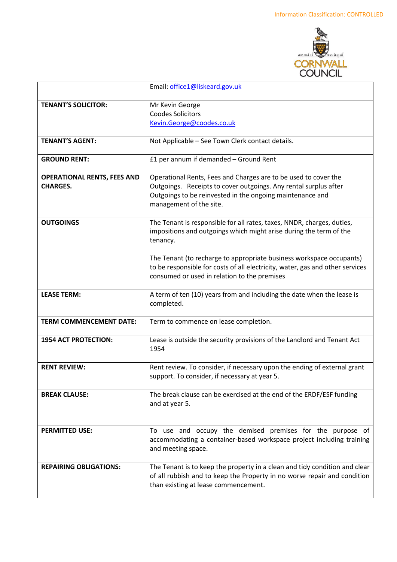

|                                                       | Email: office1@liskeard.gov.uk                                                                                                                                                                                                   |
|-------------------------------------------------------|----------------------------------------------------------------------------------------------------------------------------------------------------------------------------------------------------------------------------------|
| <b>TENANT'S SOLICITOR:</b>                            | Mr Kevin George<br><b>Coodes Solicitors</b><br>Kevin.George@coodes.co.uk                                                                                                                                                         |
| <b>TENANT'S AGENT:</b>                                | Not Applicable - See Town Clerk contact details.                                                                                                                                                                                 |
| <b>GROUND RENT:</b>                                   | £1 per annum if demanded - Ground Rent                                                                                                                                                                                           |
| <b>OPERATIONAL RENTS, FEES AND</b><br><b>CHARGES.</b> | Operational Rents, Fees and Charges are to be used to cover the<br>Outgoings. Receipts to cover outgoings. Any rental surplus after<br>Outgoings to be reinvested in the ongoing maintenance and<br>management of the site.      |
| <b>OUTGOINGS</b>                                      | The Tenant is responsible for all rates, taxes, NNDR, charges, duties,<br>impositions and outgoings which might arise during the term of the<br>tenancy.<br>The Tenant (to recharge to appropriate business workspace occupants) |
|                                                       | to be responsible for costs of all electricity, water, gas and other services<br>consumed or used in relation to the premises                                                                                                    |
| <b>LEASE TERM:</b>                                    | A term of ten (10) years from and including the date when the lease is<br>completed.                                                                                                                                             |
| <b>TERM COMMENCEMENT DATE:</b>                        | Term to commence on lease completion.                                                                                                                                                                                            |
| <b>1954 ACT PROTECTION:</b>                           | Lease is outside the security provisions of the Landlord and Tenant Act<br>1954                                                                                                                                                  |
| <b>RENT REVIEW:</b>                                   | Rent review. To consider, if necessary upon the ending of external grant<br>support. To consider, if necessary at year 5.                                                                                                        |
| <b>BREAK CLAUSE:</b>                                  | The break clause can be exercised at the end of the ERDF/ESF funding<br>and at year 5.                                                                                                                                           |
| <b>PERMITTED USE:</b>                                 | To use and occupy the demised premises for the purpose of<br>accommodating a container-based workspace project including training<br>and meeting space.                                                                          |
| <b>REPAIRING OBLIGATIONS:</b>                         | The Tenant is to keep the property in a clean and tidy condition and clear<br>of all rubbish and to keep the Property in no worse repair and condition<br>than existing at lease commencement.                                   |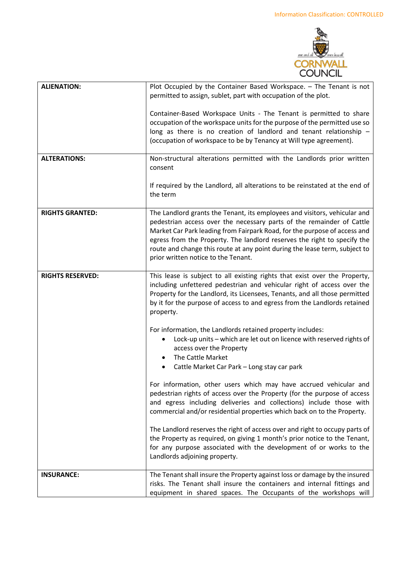

| <b>ALIENATION:</b>      | Plot Occupied by the Container Based Workspace. - The Tenant is not<br>permitted to assign, sublet, part with occupation of the plot.                                                                                                                                                                                                                                                                                            |
|-------------------------|----------------------------------------------------------------------------------------------------------------------------------------------------------------------------------------------------------------------------------------------------------------------------------------------------------------------------------------------------------------------------------------------------------------------------------|
|                         | Container-Based Workspace Units - The Tenant is permitted to share<br>occupation of the workspace units for the purpose of the permitted use so<br>long as there is no creation of landlord and tenant relationship $-$<br>(occupation of workspace to be by Tenancy at Will type agreement).                                                                                                                                    |
| <b>ALTERATIONS:</b>     | Non-structural alterations permitted with the Landlords prior written<br>consent                                                                                                                                                                                                                                                                                                                                                 |
|                         | If required by the Landlord, all alterations to be reinstated at the end of<br>the term                                                                                                                                                                                                                                                                                                                                          |
| <b>RIGHTS GRANTED:</b>  | The Landlord grants the Tenant, its employees and visitors, vehicular and<br>pedestrian access over the necessary parts of the remainder of Cattle<br>Market Car Park leading from Fairpark Road, for the purpose of access and<br>egress from the Property. The landlord reserves the right to specify the<br>route and change this route at any point during the lease term, subject to<br>prior written notice to the Tenant. |
| <b>RIGHTS RESERVED:</b> | This lease is subject to all existing rights that exist over the Property,<br>including unfettered pedestrian and vehicular right of access over the<br>Property for the Landlord, its Licensees, Tenants, and all those permitted<br>by it for the purpose of access to and egress from the Landlords retained<br>property.                                                                                                     |
|                         | For information, the Landlords retained property includes:<br>Lock-up units - which are let out on licence with reserved rights of<br>access over the Property<br>The Cattle Market<br>$\bullet$<br>Cattle Market Car Park - Long stay car park                                                                                                                                                                                  |
|                         | For information, other users which may have accrued vehicular and<br>pedestrian rights of access over the Property (for the purpose of access<br>and egress including deliveries and collections) include those with<br>commercial and/or residential properties which back on to the Property.                                                                                                                                  |
|                         | The Landlord reserves the right of access over and right to occupy parts of<br>the Property as required, on giving 1 month's prior notice to the Tenant,<br>for any purpose associated with the development of or works to the<br>Landlords adjoining property.                                                                                                                                                                  |
| <b>INSURANCE:</b>       | The Tenant shall insure the Property against loss or damage by the insured<br>risks. The Tenant shall insure the containers and internal fittings and<br>equipment in shared spaces. The Occupants of the workshops will                                                                                                                                                                                                         |